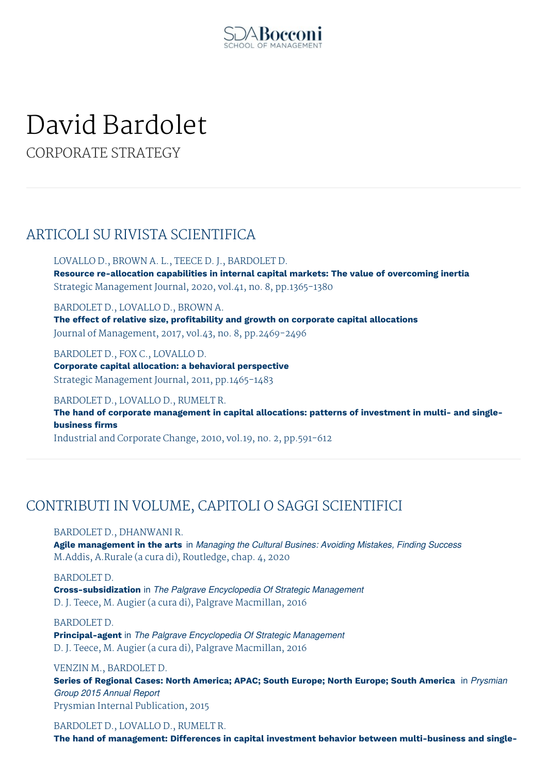

# David Bardolet

CORPORATE STRATEGY

## ARTICOLI SU RIVISTA SCIENTIFICA

LOVALLO D., BROWN A. L., TEECE D. J., BARDOLET D. **Resource re-allocation capabilities in internal capital markets: The value of overcoming inertia** Strategic Management Journal, 2020, vol.41, no. 8, pp.1365-1380

BARDOLET D., LOVALLO D., BROWN A.

**The effect of relative size, profitability and growth on corporate capital allocations** Journal of Management, 2017, vol.43, no. 8, pp.2469-2496

BARDOLET D., FOX C., LOVALLO D.

**Corporate capital allocation: a behavioral perspective** Strategic Management Journal, 2011, pp.1465-1483

BARDOLET D., LOVALLO D., RUMELT R.

**The hand of corporate management in capital allocations: patterns of investment in multi- and singlebusiness firms**

Industrial and Corporate Change, 2010, vol.19, no. 2, pp.591-612

# CONTRIBUTI IN VOLUME, CAPITOLI O SAGGI SCIENTIFICI

BARDOLET D., DHANWANI R.

**Agile management in the arts** in *Managing the Cultural Busines: Avoiding Mistakes, Finding Success* M.Addis, A.Rurale (a cura di), Routledge, chap. 4, 2020

BARDOLET D. **Cross-subsidization** in *The Palgrave Encyclopedia Of Strategic Management* D. J. Teece, M. Augier (a cura di), Palgrave Macmillan, 2016

BARDOLET D.

**Principal-agent** in *The Palgrave Encyclopedia Of Strategic Management* D. J. Teece, M. Augier (a cura di), Palgrave Macmillan, 2016

VENZIN M., BARDOLET D.

**Series of Regional Cases: North America; APAC; South Europe; North Europe; South America** in *Prysmian Group 2015 Annual Report* Prysmian Internal Publication, 2015

## BARDOLET D., LOVALLO D., RUMELT R.

**The hand of management: Differences in capital investment behavior between multi-business and single-**